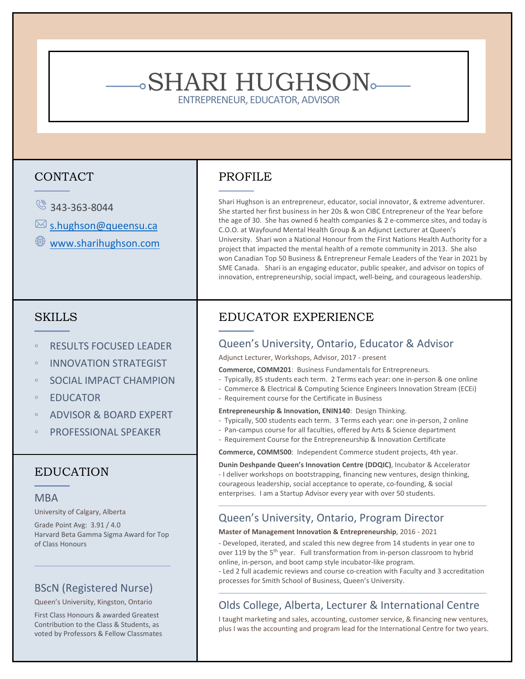# SHARI HUGHSON

ENTREPRENEUR, EDUCATOR, ADVISOR

# CONTACT

- $\circ$  343-363-8044
- $\boxtimes$  [s.hughson@queensu.ca](mailto:s.hughson@queensu.ca)
- [www.sharihughson.com](http://www.sharihughson.com/)

# **SKILLS**

- RESULTS FOCUSED LEADER
- INNOVATION STRATEGIST
- SOCIAL IMPACT CHAMPION
- EDUCATOR
- ADVISOR & BOARD EXPERT
- PROFESSIONAL SPEAKER

# EDUCATION

#### MBA

University of Calgary, Alberta

Grade Point Avg: 3.91 / 4.0 Harvard Beta Gamma Sigma Award for Top of Class Honours

## BScN (Registered Nurse)

#### Queen's University, Kingston, Ontario

First Class Honours & awarded Greatest Contribution to the Class & Students, as voted by Professors & Fellow Classmates

# PROFILE

Shari Hughson is an entrepreneur, educator, social innovator, & extreme adventurer. She started her first business in her 20s & won CIBC Entrepreneur of the Year before the age of 30. She has owned 6 health companies & 2 e-commerce sites, and today is C.O.O. at Wayfound Mental Health Group & an Adjunct Lecturer at Queen's University. Shari won a National Honour from the First Nations Health Authority for a project that impacted the mental health of a remote community in 2013. She also won Canadian Top 50 Business & Entrepreneur Female Leaders of the Year in 2021 by SME Canada. Shari is an engaging educator, public speaker, and advisor on topics of innovation, entrepreneurship, social impact, well-being, and courageous leadership.

# EDUCATOR EXPERIENCE

# Queen's University, Ontario, Educator & Advisor

Adjunct Lecturer, Workshops, Advisor, 2017 - present

**Commerce, COMM201**: Business Fundamentals for Entrepreneurs.

- Typically, 85 students each term. 2 Terms each year: one in-person & one online
- Commerce & Electrical & Computing Science Engineers Innovation Stream (ECEi)
- Requirement course for the Certificate in Business

#### **Entrepreneurship & Innovation, ENIN140**: Design Thinking.

- Typically, 500 students each term. 3 Terms each year: one in-person, 2 online
- Pan-campus course for all faculties, offered by Arts & Science department
- Requirement Course for the Entrepreneurship & Innovation Certificate

**Commerce, COMM500**: Independent Commerce student projects, 4th year.

**Dunin Deshpande Queen's Innovation Centre (DDQIC)**, Incubator & Accelerator - I deliver workshops on bootstrapping, financing new ventures, design thinking, courageous leadership, social acceptance to operate, co-founding, & social enterprises. I am a Startup Advisor every year with over 50 students.

#### Queen's University, Ontario, Program Director

#### **Master of Management Innovation & Entrepreneurship**, 2016 - 2021

- Developed, iterated, and scaled this new degree from 14 students in year one to over 119 by the 5<sup>th</sup> year. Full transformation from in-person classroom to hybrid online, in-person, and boot camp style incubator-like program.

- Led 2 full academic reviews and course co-creation with Faculty and 3 accreditation processes for Smith School of Business, Queen's University.

# Olds College, Alberta, Lecturer & International Centre

I taught marketing and sales, accounting, customer service, & financing new ventures, plus I was the accounting and program lead for the International Centre for two years.